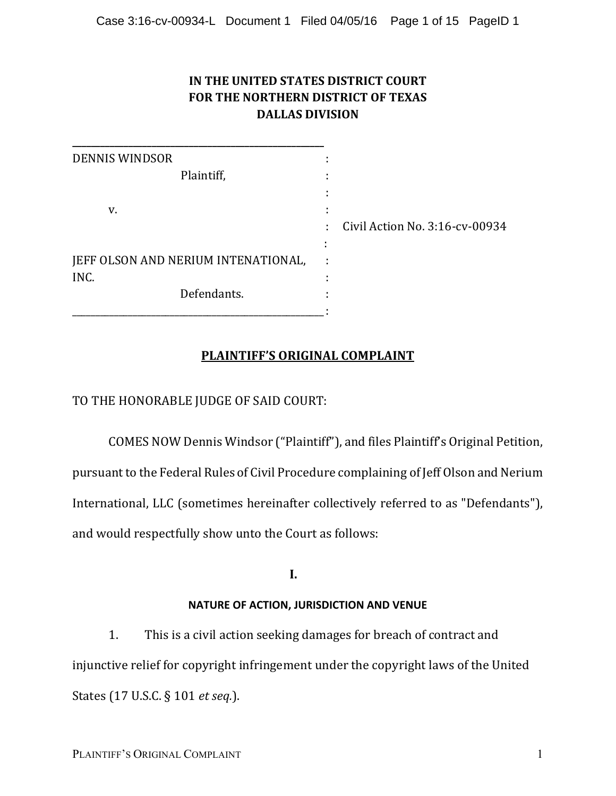## IN THE UNITED STATES DISTRICT COURT **FOR THE NORTHERN DISTRICT OF TEXAS DALLAS DIVISION**

| <b>DENNIS WINDSOR</b>               | $\blacksquare$ |                                  |
|-------------------------------------|----------------|----------------------------------|
| Plaintiff,                          |                |                                  |
|                                     | $\blacksquare$ |                                  |
| v.                                  | $\blacksquare$ |                                  |
|                                     |                | : Civil Action No. 3:16-cv-00934 |
|                                     |                |                                  |
| JEFF OLSON AND NERIUM INTENATIONAL, |                |                                  |
| INC.                                |                |                                  |
| Defendants.                         |                |                                  |
|                                     |                |                                  |

# **PLAINTIFF'S ORIGINAL COMPLAINT**

TO THE HONORABLE JUDGE OF SAID COURT:

COMES NOW Dennis Windsor ("Plaintiff"), and files Plaintiff's Original Petition, pursuant to the Federal Rules of Civil Procedure complaining of Jeff Olson and Nerium International, LLC (sometimes hereinafter collectively referred to as "Defendants"), and would respectfully show unto the Court as follows:

**I.**

## **NATURE OF ACTION, JURISDICTION AND VENUE**

1. This is a civil action seeking damages for breach of contract and injunctive relief for copyright infringement under the copyright laws of the United States (17 U.S.C. § 101 *et seq.*).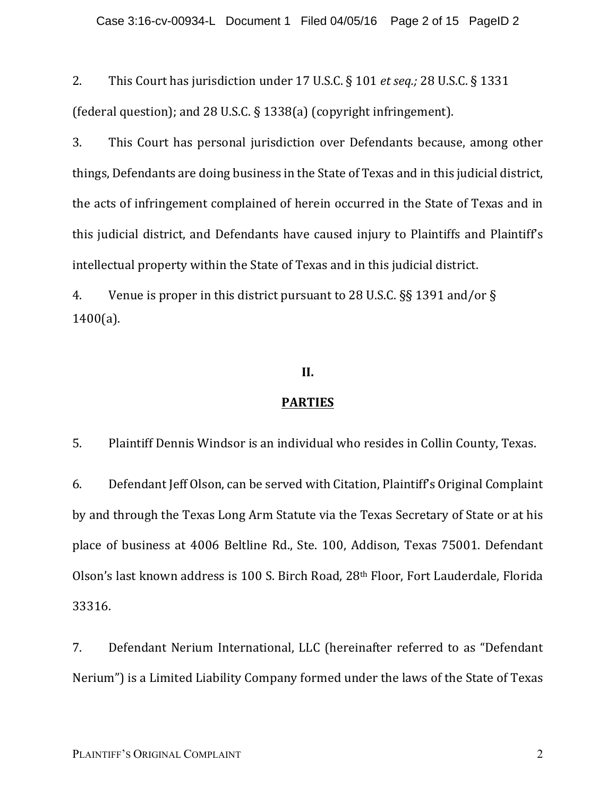2. This Court has jurisdiction under 17 U.S.C. § 101 *et seq.;* 28 U.S.C. § 1331 (federal question); and 28 U.S.C. § 1338(a) (copyright infringement).

3. This Court has personal jurisdiction over Defendants because, among other things, Defendants are doing business in the State of Texas and in this judicial district, the acts of infringement complained of herein occurred in the State of Texas and in this judicial district, and Defendants have caused injury to Plaintiffs and Plaintiff's intellectual property within the State of Texas and in this judicial district.

4. Venue is proper in this district pursuant to 28 U.S.C.  $\S$ § 1391 and/or  $\S$  $1400(a)$ .

### **II.**

### **PARTIES**

5. Plaintiff Dennis Windsor is an individual who resides in Collin County, Texas.

6. Defendant Jeff Olson, can be served with Citation, Plaintiff's Original Complaint by and through the Texas Long Arm Statute via the Texas Secretary of State or at his place of business at 4006 Beltline Rd., Ste. 100, Addison, Texas 75001. Defendant Olson's last known address is 100 S. Birch Road, 28<sup>th</sup> Floor, Fort Lauderdale, Florida 33316.

7. Defendant Nerium International, LLC (hereinafter referred to as "Defendant Nerium") is a Limited Liability Company formed under the laws of the State of Texas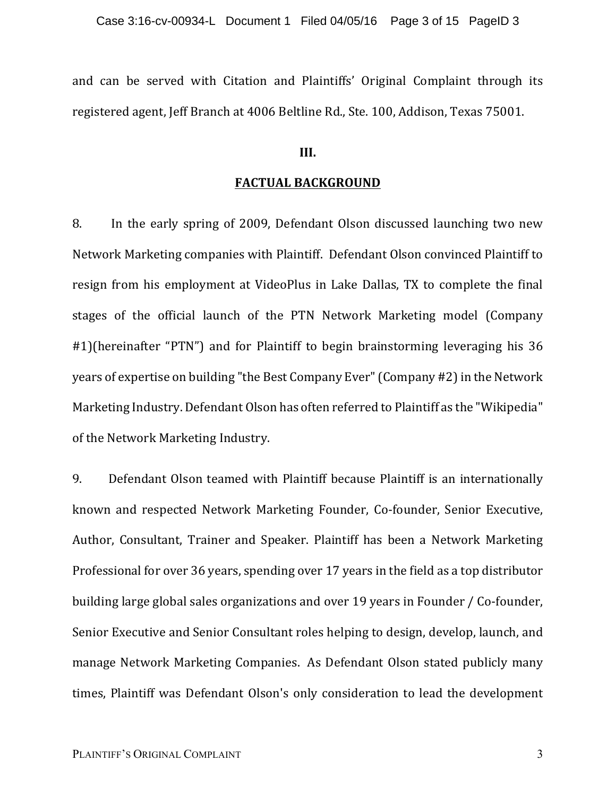and can be served with Citation and Plaintiffs' Original Complaint through its registered agent, Jeff Branch at 4006 Beltline Rd., Ste. 100, Addison, Texas 75001.

### **III.**

#### **FACTUAL BACKGROUND**

8. In the early spring of 2009, Defendant Olson discussed launching two new Network Marketing companies with Plaintiff. Defendant Olson convinced Plaintiff to resign from his employment at VideoPlus in Lake Dallas, TX to complete the final stages of the official launch of the PTN Network Marketing model (Company #1)(hereinafter "PTN") and for Plaintiff to begin brainstorming leveraging his 36 years of expertise on building "the Best Company Ever" (Company #2) in the Network Marketing Industry. Defendant Olson has often referred to Plaintiff as the "Wikipedia" of the Network Marketing Industry.

9. Defendant Olson teamed with Plaintiff because Plaintiff is an internationally known and respected Network Marketing Founder, Co-founder, Senior Executive, Author, Consultant, Trainer and Speaker. Plaintiff has been a Network Marketing Professional for over 36 years, spending over 17 years in the field as a top distributor building large global sales organizations and over 19 years in Founder / Co-founder, Senior Executive and Senior Consultant roles helping to design, develop, launch, and manage Network Marketing Companies. As Defendant Olson stated publicly many times, Plaintiff was Defendant Olson's only consideration to lead the development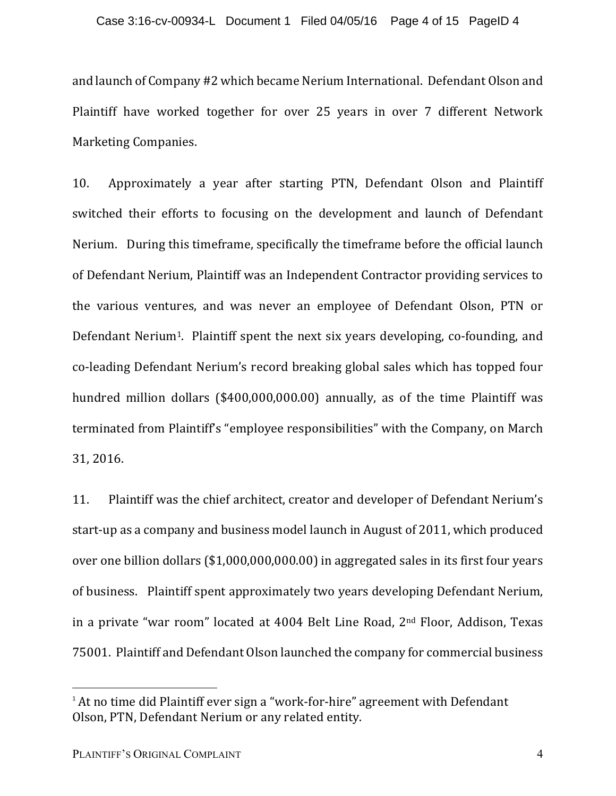and launch of Company #2 which became Nerium International. Defendant Olson and Plaintiff have worked together for over 25 years in over 7 different Network Marketing Companies.

10. Approximately a year after starting PTN, Defendant Olson and Plaintiff switched their efforts to focusing on the development and launch of Defendant Nerium. During this timeframe, specifically the timeframe before the official launch of Defendant Nerium, Plaintiff was an Independent Contractor providing services to the various ventures, and was never an employee of Defendant Olson, PTN or Defendant Nerium<sup>1</sup>. Plaintiff spent the next six years developing, co-founding, and co-leading Defendant Nerium's record breaking global sales which has topped four hundred million dollars  $(\$400,000,000.00)$  annually, as of the time Plaintiff was terminated from Plaintiff's "employee responsibilities" with the Company, on March 31, 2016. 

11. Plaintiff was the chief architect, creator and developer of Defendant Nerium's start-up as a company and business model launch in August of 2011, which produced over one billion dollars  $(\$1,000,000,000.00)$  in aggregated sales in its first four years of business. Plaintiff spent approximately two years developing Defendant Nerium, in a private "war room" located at  $4004$  Belt Line Road,  $2<sup>nd</sup>$  Floor, Addison, Texas 75001. Plaintiff and Defendant Olson launched the company for commercial business

 

 $1$  At no time did Plaintiff ever sign a "work-for-hire" agreement with Defendant Olson, PTN, Defendant Nerium or any related entity.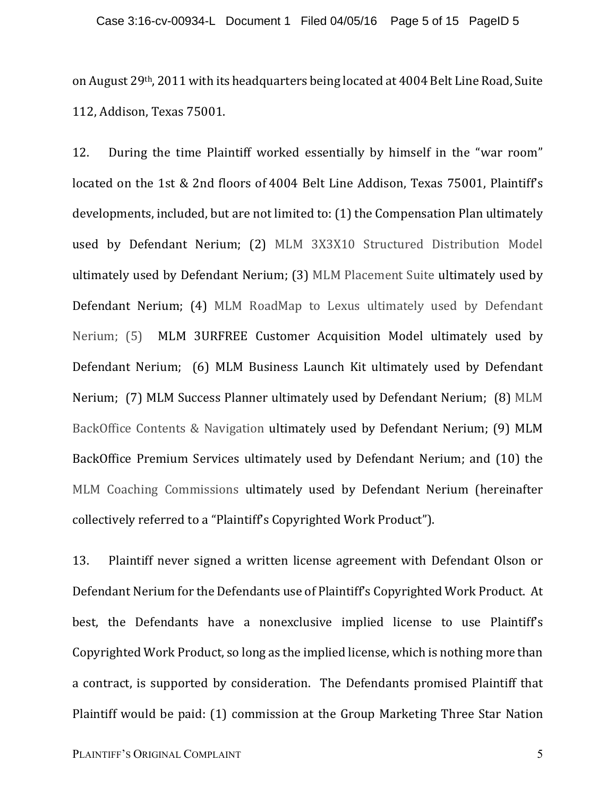on August 29<sup>th</sup>, 2011 with its headquarters being located at 4004 Belt Line Road, Suite 112, Addison, Texas 75001.

12. During the time Plaintiff worked essentially by himself in the "war room" located on the 1st & 2nd floors of 4004 Belt Line Addison, Texas 75001, Plaintiff's developments, included, but are not limited to: (1) the Compensation Plan ultimately used by Defendant Nerium; (2) MLM 3X3X10 Structured Distribution Model ultimately used by Defendant Nerium; (3) MLM Placement Suite ultimately used by Defendant Nerium; (4) MLM RoadMap to Lexus ultimately used by Defendant Nerium; (5) MLM 3URFREE Customer Acquisition Model ultimately used by Defendant Nerium; (6) MLM Business Launch Kit ultimately used by Defendant Nerium; (7) MLM Success Planner ultimately used by Defendant Nerium; (8) MLM BackOffice Contents & Navigation ultimately used by Defendant Nerium; (9) MLM BackOffice Premium Services ultimately used by Defendant Nerium; and (10) the MLM Coaching Commissions ultimately used by Defendant Nerium (hereinafter collectively referred to a "Plaintiff's Copyrighted Work Product").

13. Plaintiff never signed a written license agreement with Defendant Olson or Defendant Nerium for the Defendants use of Plaintiff's Copyrighted Work Product. At best, the Defendants have a nonexclusive implied license to use Plaintiff's Copyrighted Work Product, so long as the implied license, which is nothing more than a contract, is supported by consideration. The Defendants promised Plaintiff that Plaintiff would be paid: (1) commission at the Group Marketing Three Star Nation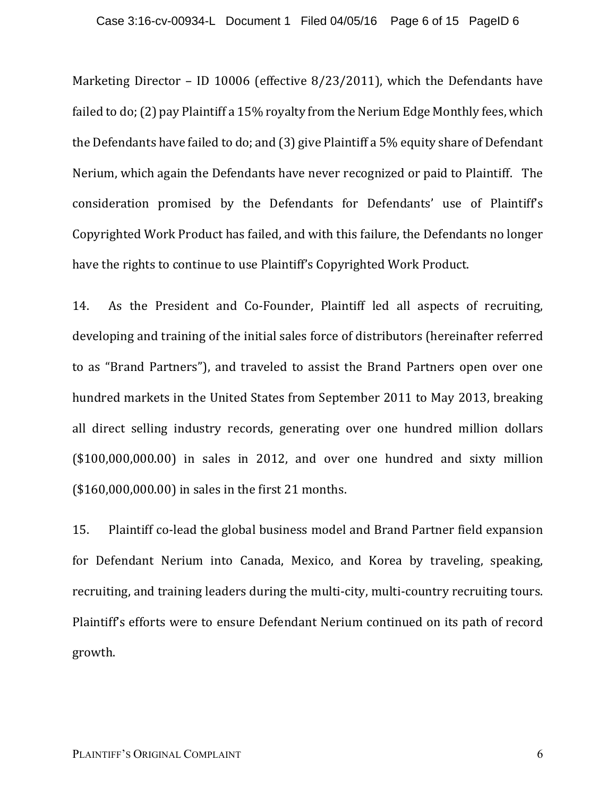Marketing Director – ID 10006 (effective  $8/23/2011$ ), which the Defendants have failed to do; (2) pay Plaintiff a 15% royalty from the Nerium Edge Monthly fees, which the Defendants have failed to do; and  $(3)$  give Plaintiff a 5% equity share of Defendant Nerium, which again the Defendants have never recognized or paid to Plaintiff. The consideration promised by the Defendants for Defendants' use of Plaintiff's Copyrighted Work Product has failed, and with this failure, the Defendants no longer have the rights to continue to use Plaintiff's Copyrighted Work Product.

14. As the President and Co-Founder, Plaintiff led all aspects of recruiting, developing and training of the initial sales force of distributors (hereinafter referred to as "Brand Partners"), and traveled to assist the Brand Partners open over one hundred markets in the United States from September 2011 to May 2013, breaking all direct selling industry records, generating over one hundred million dollars  $($100,000,000.00)$  in sales in 2012, and over one hundred and sixty million  $($160,000,000.00)$  in sales in the first 21 months.

15. Plaintiff co-lead the global business model and Brand Partner field expansion for Defendant Nerium into Canada, Mexico, and Korea by traveling, speaking, recruiting, and training leaders during the multi-city, multi-country recruiting tours. Plaintiff's efforts were to ensure Defendant Nerium continued on its path of record growth.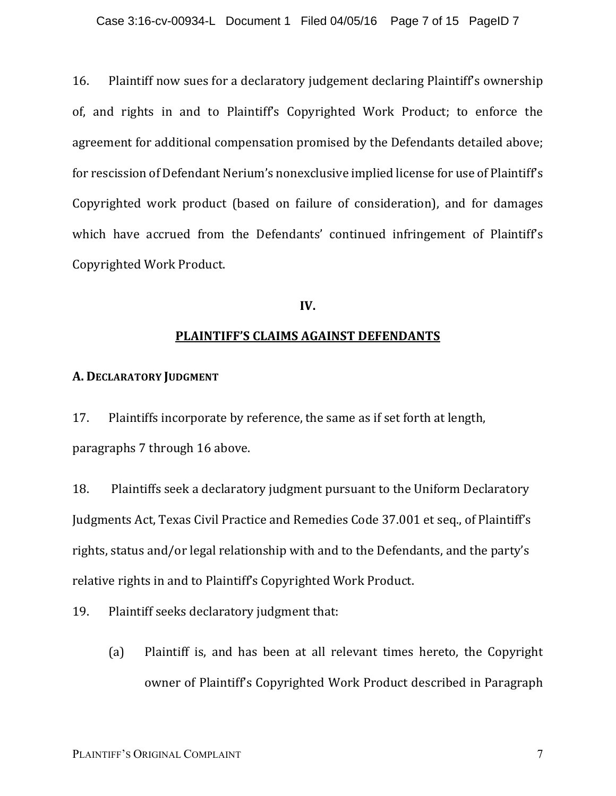16. Plaintiff now sues for a declaratory judgement declaring Plaintiff's ownership of, and rights in and to Plaintiff's Copyrighted Work Product; to enforce the agreement for additional compensation promised by the Defendants detailed above; for rescission of Defendant Nerium's nonexclusive implied license for use of Plaintiff's Copyrighted work product (based on failure of consideration), and for damages which have accrued from the Defendants' continued infringement of Plaintiff's Copyrighted Work Product.

### **IV.**

### **PLAINTIFF'S CLAIMS AGAINST DEFENDANTS**

### **A. DECLARATORY JUDGMENT**

17. Plaintiffs incorporate by reference, the same as if set forth at length, paragraphs 7 through 16 above.

18. Plaintiffs seek a declaratory judgment pursuant to the Uniform Declaratory Judgments Act, Texas Civil Practice and Remedies Code 37.001 et seq., of Plaintiff's rights, status and/or legal relationship with and to the Defendants, and the party's relative rights in and to Plaintiff's Copyrighted Work Product.

19. Plaintiff seeks declaratory judgment that:

(a) Plaintiff is, and has been at all relevant times hereto, the Copyright owner of Plaintiff's Copyrighted Work Product described in Paragraph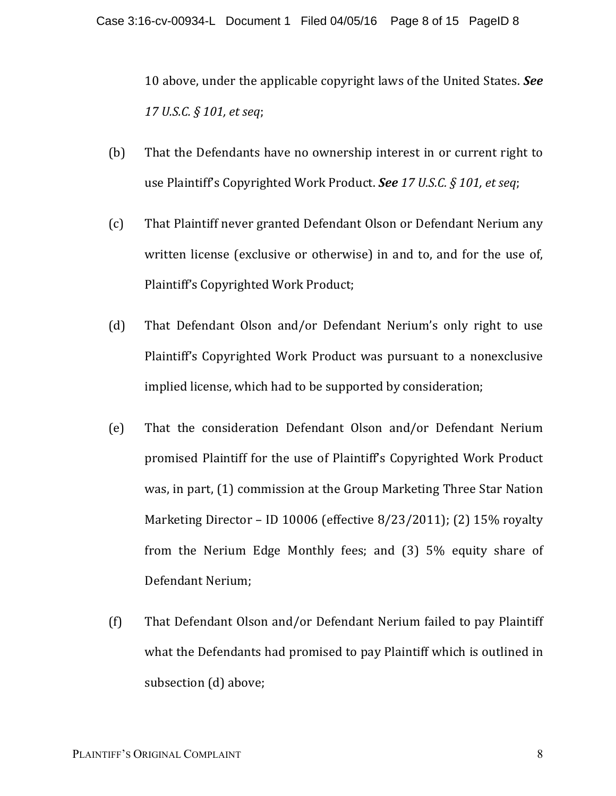10 above, under the applicable copyright laws of the United States. See *17 U.S.C. § 101, et seq*;

- (b) That the Defendants have no ownership interest in or current right to use Plaintiff's Copyrighted Work Product. **See** 17 U.S.C. § 101, et seq;
- (c) That Plaintiff never granted Defendant Olson or Defendant Nerium any written license (exclusive or otherwise) in and to, and for the use of, Plaintiff's Copyrighted Work Product;
- (d) That Defendant Olson and/or Defendant Nerium's only right to use Plaintiff's Copyrighted Work Product was pursuant to a nonexclusive implied license, which had to be supported by consideration;
- (e) That the consideration Defendant Olson and/or Defendant Nerium promised Plaintiff for the use of Plaintiff's Copyrighted Work Product was, in part, (1) commission at the Group Marketing Three Star Nation Marketing Director – ID 10006 (effective  $8/23/2011$ ); (2) 15% royalty from the Nerium Edge Monthly fees; and  $(3)$  5% equity share of Defendant Nerium;
- (f) That Defendant Olson and/or Defendant Nerium failed to pay Plaintiff what the Defendants had promised to pay Plaintiff which is outlined in subsection (d) above;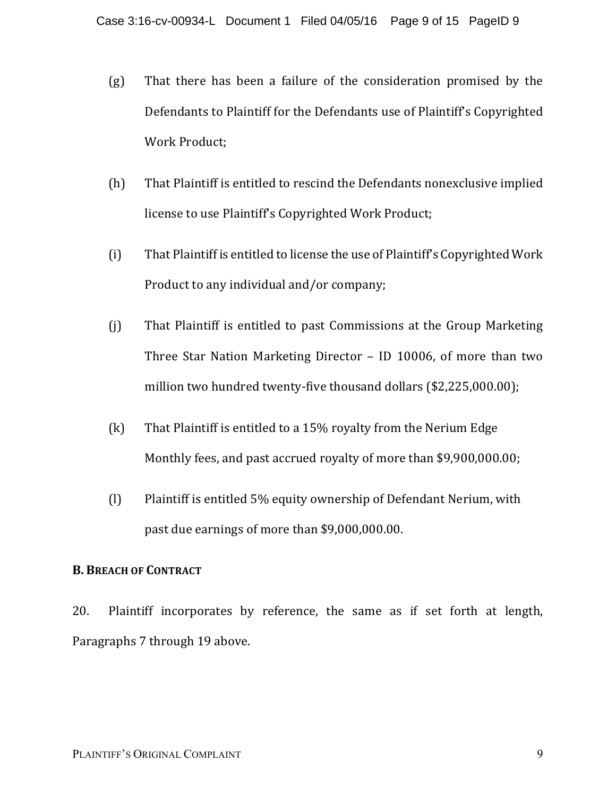- $(g)$  That there has been a failure of the consideration promised by the Defendants to Plaintiff for the Defendants use of Plaintiff's Copyrighted Work Product;
- (h) That Plaintiff is entitled to rescind the Defendants nonexclusive implied license to use Plaintiff's Copyrighted Work Product;
- $(i)$  That Plaintiff is entitled to license the use of Plaintiff's Copyrighted Work Product to any individual and/or company;
- (j) That Plaintiff is entitled to past Commissions at the Group Marketing Three Star Nation Marketing Director  $-$  ID 10006, of more than two million two hundred twenty-five thousand dollars  $$2,225,000.00$ ;
- $(k)$  That Plaintiff is entitled to a 15% royalty from the Nerium Edge Monthly fees, and past accrued royalty of more than \$9,900,000.00;
- (I) Plaintiff is entitled 5% equity ownership of Defendant Nerium, with past due earnings of more than \$9,000,000.00.

## **B. BREACH OF CONTRACT**

20. Plaintiff incorporates by reference, the same as if set forth at length, Paragraphs 7 through 19 above.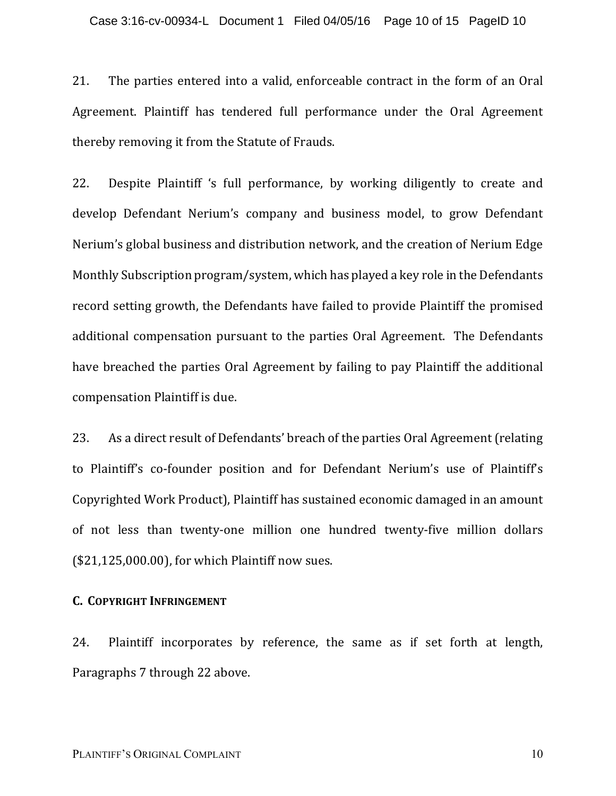21. The parties entered into a valid, enforceable contract in the form of an Oral Agreement. Plaintiff has tendered full performance under the Oral Agreement thereby removing it from the Statute of Frauds.

22. Despite Plaintiff 's full performance, by working diligently to create and develop Defendant Nerium's company and business model, to grow Defendant Nerium's global business and distribution network, and the creation of Nerium Edge Monthly Subscription program/system, which has played a key role in the Defendants record setting growth, the Defendants have failed to provide Plaintiff the promised additional compensation pursuant to the parties Oral Agreement. The Defendants have breached the parties Oral Agreement by failing to pay Plaintiff the additional compensation Plaintiff is due.

23. As a direct result of Defendants' breach of the parties Oral Agreement (relating to Plaintiff's co-founder position and for Defendant Nerium's use of Plaintiff's Copyrighted Work Product), Plaintiff has sustained economic damaged in an amount of not less than twenty-one million one hundred twenty-five million dollars  $($21,125,000.00)$ , for which Plaintiff now sues.

### **C. COPYRIGHT INFRINGEMENT**

24. Plaintiff incorporates by reference, the same as if set forth at length, Paragraphs 7 through 22 above.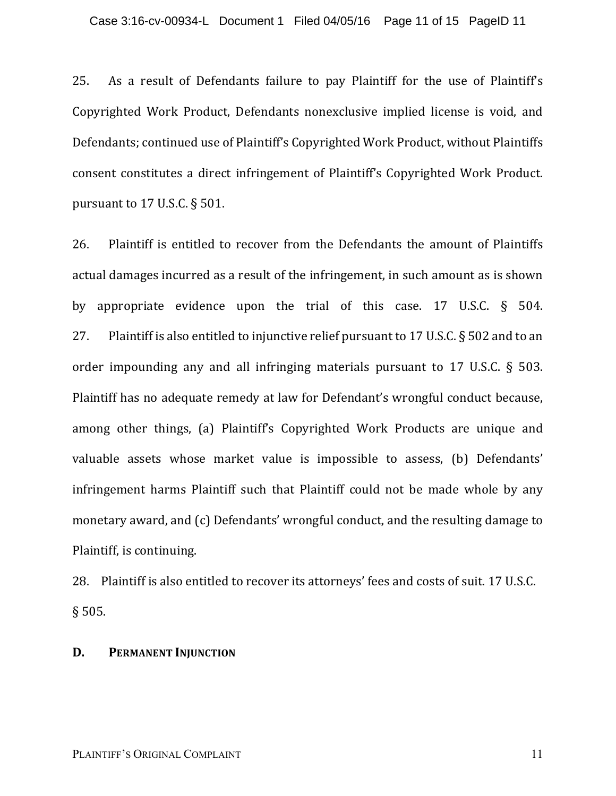25. As a result of Defendants failure to pay Plaintiff for the use of Plaintiff's Copyrighted Work Product, Defendants nonexclusive implied license is void, and Defendants; continued use of Plaintiff's Copyrighted Work Product, without Plaintiffs consent constitutes a direct infringement of Plaintiff's Copyrighted Work Product. pursuant to  $17$  U.S.C.  $\S$  501.

26. Plaintiff is entitled to recover from the Defendants the amount of Plaintiffs actual damages incurred as a result of the infringement, in such amount as is shown by appropriate evidence upon the trial of this case.  $17$  U.S.C. § 504. 27. Plaintiff is also entitled to injunctive relief pursuant to 17 U.S.C.  $\S$  502 and to an order impounding any and all infringing materials pursuant to 17 U.S.C.  $\S$  503. Plaintiff has no adequate remedy at law for Defendant's wrongful conduct because, among other things, (a) Plaintiff's Copyrighted Work Products are unique and valuable assets whose market value is impossible to assess, (b) Defendants' infringement harms Plaintiff such that Plaintiff could not be made whole by any monetary award, and (c) Defendants' wrongful conduct, and the resulting damage to Plaintiff, is continuing.

28. Plaintiff is also entitled to recover its attorneys' fees and costs of suit. 17 U.S.C. § 505.

## **D. PERMANENT INJUNCTION**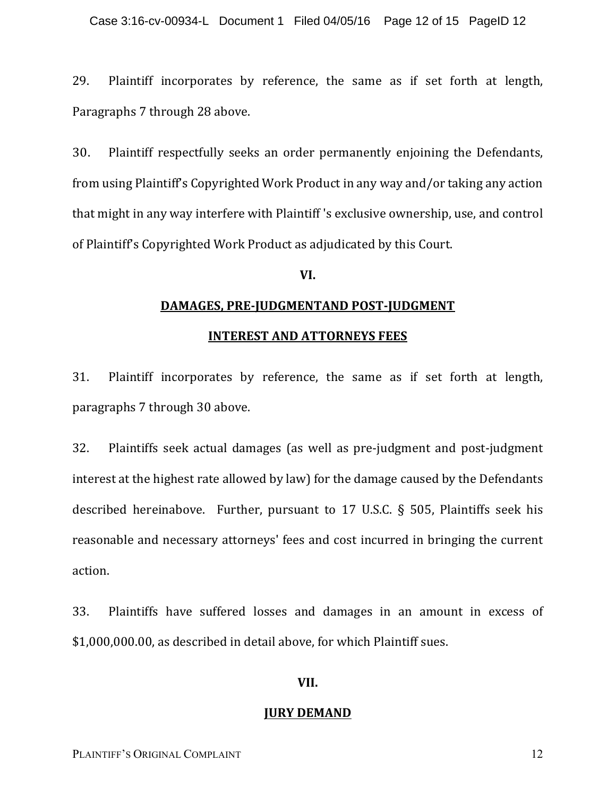29. Plaintiff incorporates by reference, the same as if set forth at length, Paragraphs 7 through 28 above.

30. Plaintiff respectfully seeks an order permanently enjoining the Defendants, from using Plaintiff's Copyrighted Work Product in any way and/or taking any action that might in any way interfere with Plaintiff's exclusive ownership, use, and control of Plaintiff's Copyrighted Work Product as adjudicated by this Court.

### **VI.**

# **DAMAGES, PRE-JUDGMENTAND POST-JUDGMENT**

### **INTEREST AND ATTORNEYS FEES**

31. Plaintiff incorporates by reference, the same as if set forth at length, paragraphs 7 through 30 above.

32. Plaintiffs seek actual damages (as well as pre-judgment and post-judgment interest at the highest rate allowed by law) for the damage caused by the Defendants described hereinabove. Further, pursuant to 17 U.S.C. § 505, Plaintiffs seek his reasonable and necessary attorneys' fees and cost incurred in bringing the current action.

33. Plaintiffs have suffered losses and damages in an amount in excess of \$1,000,000.00, as described in detail above, for which Plaintiff sues.

### **VII.**

#### **JURY DEMAND**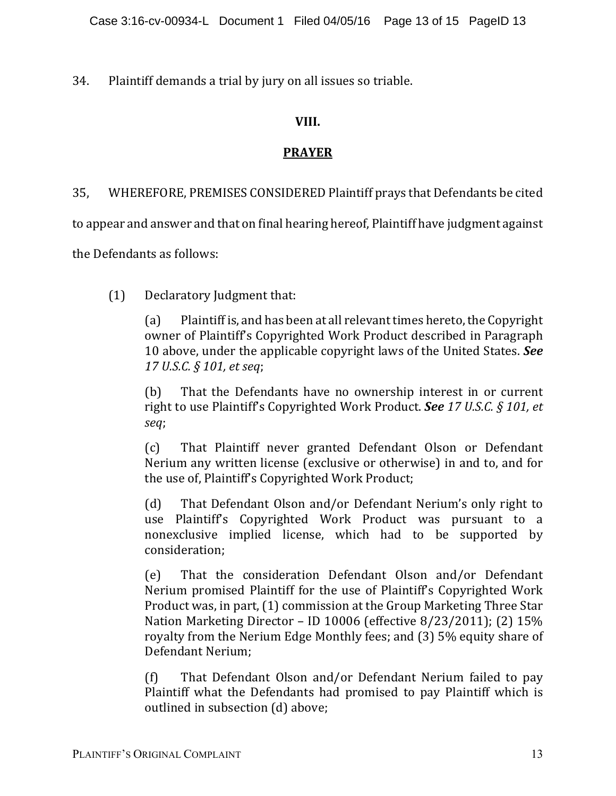34. Plaintiff demands a trial by jury on all issues so triable.

## **VIII.**

## **PRAYER**

35, WHEREFORE, PREMISES CONSIDERED Plaintiff prays that Defendants be cited

to appear and answer and that on final hearing hereof, Plaintiff have judgment against

the Defendants as follows:

(1) Declaratory Judgment that:

(a) Plaintiff is, and has been at all relevant times hereto, the Copyright owner of Plaintiff's Copyrighted Work Product described in Paragraph 10 above, under the applicable copyright laws of the United States. See *17 U.S.C. § 101, et seq*;

(b) That the Defendants have no ownership interest in or current right to use Plaintiff's Copyrighted Work Product. See 17 U.S.C. § 101, et *seq*;

(c) That Plaintiff never granted Defendant Olson or Defendant Nerium any written license (exclusive or otherwise) in and to, and for the use of, Plaintiff's Copyrighted Work Product;

(d) That Defendant Olson and/or Defendant Nerium's only right to use Plaintiff's Copyrighted Work Product was pursuant to a nonexclusive implied license, which had to be supported by consideration;

(e) That the consideration Defendant Olson and/or Defendant Nerium promised Plaintiff for the use of Plaintiff's Copyrighted Work Product was, in part, (1) commission at the Group Marketing Three Star Nation Marketing Director - ID 10006 (effective 8/23/2011); (2) 15% royalty from the Nerium Edge Monthly fees; and (3) 5% equity share of Defendant Nerium:

 $(f)$  That Defendant Olson and/or Defendant Nerium failed to pay Plaintiff what the Defendants had promised to pay Plaintiff which is outlined in subsection (d) above;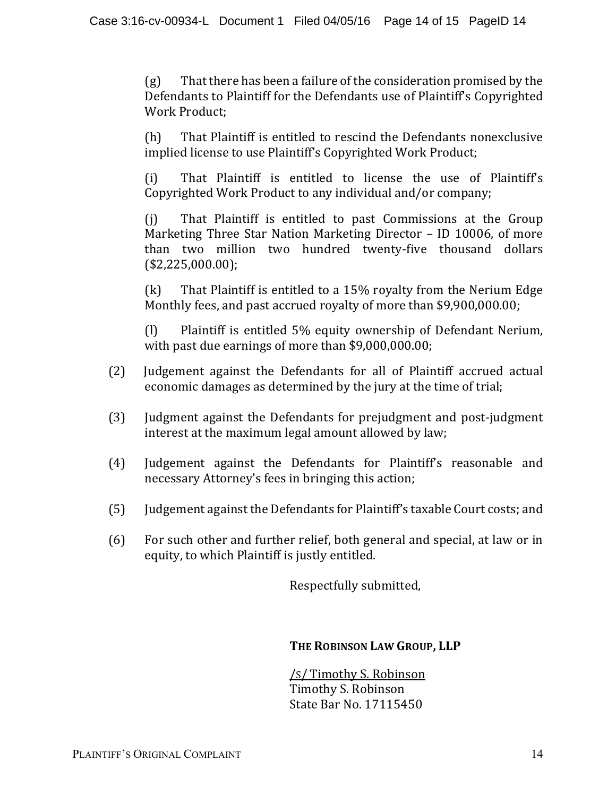$(g)$  That there has been a failure of the consideration promised by the Defendants to Plaintiff for the Defendants use of Plaintiff's Copyrighted Work Product:

(h) That Plaintiff is entitled to rescind the Defendants nonexclusive implied license to use Plaintiff's Copyrighted Work Product;

(i) That Plaintiff is entitled to license the use of Plaintiff's Copyrighted Work Product to any individual and/or company;

(j) That Plaintiff is entitled to past Commissions at the Group Marketing Three Star Nation Marketing Director – ID 10006, of more than two million two hundred twenty-five thousand dollars (\$2,225,000.00);

 $(k)$  That Plaintiff is entitled to a 15% royalty from the Nerium Edge Monthly fees, and past accrued royalty of more than \$9,900,000.00;

(I) Plaintiff is entitled 5% equity ownership of Defendant Nerium, with past due earnings of more than  $$9,000,000.00$ ;

- (2) Judgement against the Defendants for all of Plaintiff accrued actual economic damages as determined by the jury at the time of trial;
- (3) Judgment against the Defendants for prejudgment and post-judgment interest at the maximum legal amount allowed by law;
- (4) Judgement against the Defendants for Plaintiff's reasonable and necessary Attorney's fees in bringing this action;
- (5) Judgement against the Defendants for Plaintiff's taxable Court costs; and
- (6) For such other and further relief, both general and special, at law or in equity, to which Plaintiff is justly entitled.

Respectfully submitted,

## **THE ROBINSON LAW GROUP, LLP**

/s/Timothy S. Robinson Timothy S. Robinson State Bar No. 17115450